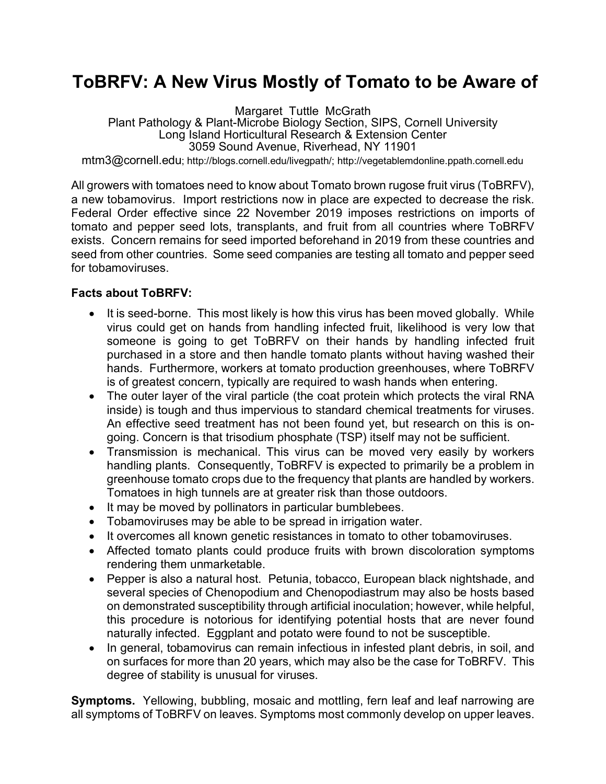## **ToBRFV: A New Virus Mostly of Tomato to be Aware of**

Margaret Tuttle McGrath Plant Pathology & Plant-Microbe Biology Section, SIPS, Cornell University Long Island Horticultural Research & Extension Center 3059 Sound Avenue, Riverhead, NY 11901 mtm3@cornell.edu; http://blogs.cornell.edu/livegpath/; http://vegetablemdonline.ppath.cornell.edu

All growers with tomatoes need to know about Tomato brown rugose fruit virus (ToBRFV), a new tobamovirus. Import restrictions now in place are expected to decrease the risk. Federal Order effective since 22 November 2019 imposes restrictions on imports of tomato and pepper seed lots, transplants, and fruit from all countries where ToBRFV exists. Concern remains for seed imported beforehand in 2019 from these countries and seed from other countries. Some seed companies are testing all tomato and pepper seed for tobamoviruses.

## **Facts about ToBRFV:**

- It is seed-borne. This most likely is how this virus has been moved globally. While virus could get on hands from handling infected fruit, likelihood is very low that someone is going to get ToBRFV on their hands by handling infected fruit purchased in a store and then handle tomato plants without having washed their hands. Furthermore, workers at tomato production greenhouses, where ToBRFV is of greatest concern, typically are required to wash hands when entering.
- The outer layer of the viral particle (the coat protein which protects the viral RNA inside) is tough and thus impervious to standard chemical treatments for viruses. An effective seed treatment has not been found yet, but research on this is ongoing. Concern is that trisodium phosphate (TSP) itself may not be sufficient.
- Transmission is mechanical. This virus can be moved very easily by workers handling plants. Consequently, ToBRFV is expected to primarily be a problem in greenhouse tomato crops due to the frequency that plants are handled by workers. Tomatoes in high tunnels are at greater risk than those outdoors.
- It may be moved by pollinators in particular bumblebees.
- Tobamoviruses may be able to be spread in irrigation water.
- It overcomes all known genetic resistances in tomato to other tobamoviruses.
- Affected tomato plants could produce fruits with brown discoloration symptoms rendering them unmarketable.
- Pepper is also a natural host. Petunia, tobacco, European black nightshade, and several species of Chenopodium and Chenopodiastrum may also be hosts based on demonstrated susceptibility through artificial inoculation; however, while helpful, this procedure is notorious for identifying potential hosts that are never found naturally infected. Eggplant and potato were found to not be susceptible.
- In general, tobamovirus can remain infectious in infested plant debris, in soil, and on surfaces for more than 20 years, which may also be the case for ToBRFV. This degree of stability is unusual for viruses.

**Symptoms.** Yellowing, bubbling, mosaic and mottling, fern leaf and leaf narrowing are all symptoms of ToBRFV on leaves. Symptoms most commonly develop on upper leaves.